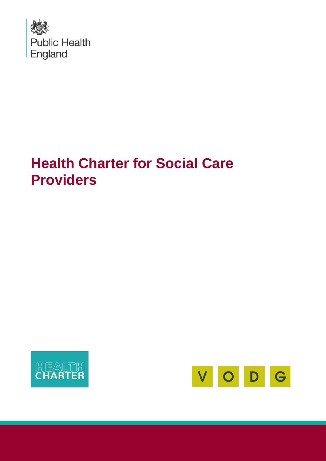

# **Health Charter for Social Care Providers**



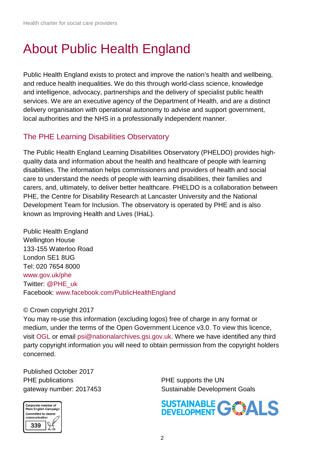## About Public Health England

Public Health England exists to protect and improve the nation's health and wellbeing, and reduce health inequalities. We do this through world-class science, knowledge and intelligence, advocacy, partnerships and the delivery of specialist public health services. We are an executive agency of the Department of Health, and are a distinct delivery organisation with operational autonomy to advise and support government, local authorities and the NHS in a professionally independent manner.

### The PHE Learning Disabilities Observatory

The Public Health England Learning Disabilities Observatory (PHELDO) provides highquality data and information about the health and healthcare of people with learning disabilities. The information helps commissioners and providers of health and social care to understand the needs of people with learning disabilities, their families and carers, and, ultimately, to deliver better healthcare. PHELDO is a collaboration between PHE, the Centre for Disability Research at Lancaster University and the National Development Team for Inclusion. The observatory is operated by PHE and is also known as Improving Health and Lives (IHaL).

Public Health England Wellington House 133-155 Waterloo Road London SE1 8UG Tel: 020 7654 8000 [www.gov.uk/phe](http://www.gov.uk/phe) Twitter: [@PHE\\_uk](https://twitter.com/PHE_uk) Facebook: [www.facebook.com/PublicHealthEngland](http://www.facebook.com/PublicHealthEngland)

#### © Crown copyright 2017

You may re-use this information (excluding logos) free of charge in any format or medium, under the terms of the Open Government Licence v3.0. To view this licence, visit [OGL](https://www.nationalarchives.gov.uk/doc/open-government-licence/version/3/) or email [psi@nationalarchives.gsi.gov.uk.](mailto:psi@nationalarchives.gsi.gov.uk) Where we have identified any third party copyright information you will need to obtain permission from the copyright holders concerned.

Published October 2017 PHE publications **PHE** supports the UN



gateway number: 2017453 Sustainable Development Goals

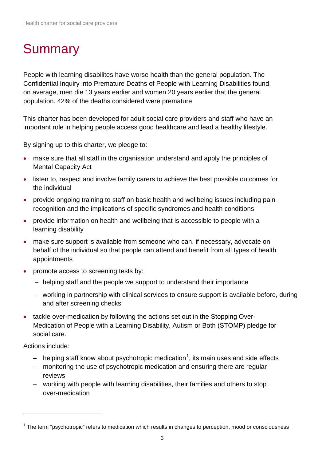## Summary

People with learning disabilites have worse health than the general population. The Confidential Inquiry into Premature Deaths of People with Learning Disabilities found, on average, men die 13 years earlier and women 20 years earlier that the general population. 42% of the deaths considered were premature.

This charter has been developed for adult social care providers and staff who have an important role in helping people access good healthcare and lead a healthy lifestyle.

By signing up to this charter, we pledge to:

- make sure that all staff in the organisation understand and apply the principles of Mental Capacity Act
- listen to, respect and involve family carers to achieve the best possible outcomes for the individual
- provide ongoing training to staff on basic health and wellbeing issues including pain recognition and the implications of specific syndromes and health conditions
- provide information on health and wellbeing that is accessible to people with a learning disability
- make sure support is available from someone who can, if necessary, advocate on behalf of the individual so that people can attend and benefit from all types of health appointments
- promote access to screening tests by:
	- − helping staff and the people we support to understand their importance
	- − working in partnership with clinical services to ensure support is available before, during and after screening checks
- tackle over-medication by following the actions set out in the Stopping Over-Medication of People with a Learning Disability, Autism or Both (STOMP) pledge for social care.

Actions include:

- − helping staff know about psychotropic medication<sup>[1](#page-2-0)</sup>, its main uses and side effects
- − monitoring the use of psychotropic medication and ensuring there are regular reviews
- − working with people with learning disabilities, their families and others to stop over-medication

<span id="page-2-0"></span> $1$  The term "psychotropic" refers to medication which results in changes to perception, mood or consciousness